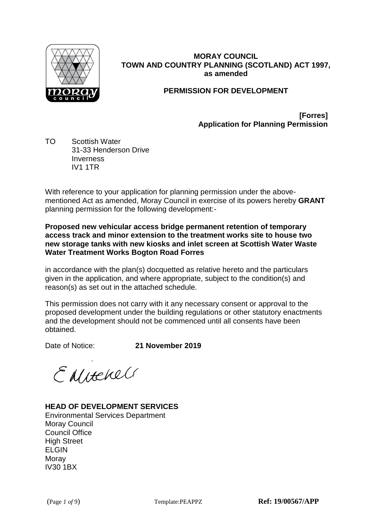

# **MORAY COUNCIL TOWN AND COUNTRY PLANNING (SCOTLAND) ACT 1997, as amended**

# **PERMISSION FOR DEVELOPMENT**

**[Forres] Application for Planning Permission**

TO Scottish Water 31-33 Henderson Drive **Inverness** IV1 1TR

With reference to your application for planning permission under the abovementioned Act as amended, Moray Council in exercise of its powers hereby **GRANT** planning permission for the following development:-

**Proposed new vehicular access bridge permanent retention of temporary access track and minor extension to the treatment works site to house two new storage tanks with new kiosks and inlet screen at Scottish Water Waste Water Treatment Works Bogton Road Forres**

in accordance with the plan(s) docquetted as relative hereto and the particulars given in the application, and where appropriate, subject to the condition(s) and reason(s) as set out in the attached schedule.

This permission does not carry with it any necessary consent or approval to the proposed development under the building regulations or other statutory enactments and the development should not be commenced until all consents have been obtained.

Date of Notice: **21 November 2019**

ENNERell

# **HEAD OF DEVELOPMENT SERVICES**

Environmental Services Department Moray Council Council Office High Street ELGIN Moray IV30 1BX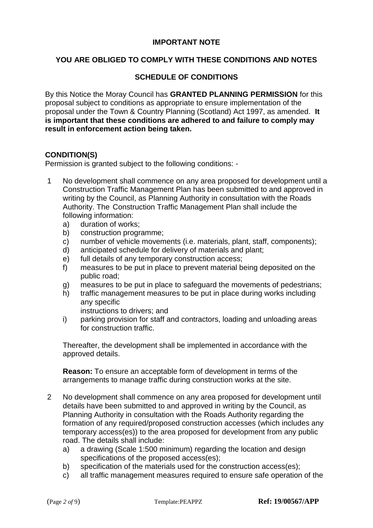## **IMPORTANT NOTE**

# **YOU ARE OBLIGED TO COMPLY WITH THESE CONDITIONS AND NOTES**

## **SCHEDULE OF CONDITIONS**

By this Notice the Moray Council has **GRANTED PLANNING PERMISSION** for this proposal subject to conditions as appropriate to ensure implementation of the proposal under the Town & Country Planning (Scotland) Act 1997, as amended. **It is important that these conditions are adhered to and failure to comply may result in enforcement action being taken.**

#### **CONDITION(S)**

Permission is granted subject to the following conditions: -

- 1 No development shall commence on any area proposed for development until a Construction Traffic Management Plan has been submitted to and approved in writing by the Council, as Planning Authority in consultation with the Roads Authority. The Construction Traffic Management Plan shall include the following information:
	- a) duration of works;
	- b) construction programme;
	- c) number of vehicle movements (i.e. materials, plant, staff, components);
	- d) anticipated schedule for delivery of materials and plant;
	- e) full details of any temporary construction access;
	- f) measures to be put in place to prevent material being deposited on the public road;
	- g) measures to be put in place to safeguard the movements of pedestrians;
	- h) traffic management measures to be put in place during works including any specific
		- instructions to drivers; and
	- i) parking provision for staff and contractors, loading and unloading areas for construction traffic.

Thereafter, the development shall be implemented in accordance with the approved details.

**Reason:** To ensure an acceptable form of development in terms of the arrangements to manage traffic during construction works at the site.

- 2 No development shall commence on any area proposed for development until details have been submitted to and approved in writing by the Council, as Planning Authority in consultation with the Roads Authority regarding the formation of any required/proposed construction accesses (which includes any temporary access(es)) to the area proposed for development from any public road. The details shall include:
	- a) a drawing (Scale 1:500 minimum) regarding the location and design specifications of the proposed access(es);
	- b) specification of the materials used for the construction access(es);
	- c) all traffic management measures required to ensure safe operation of the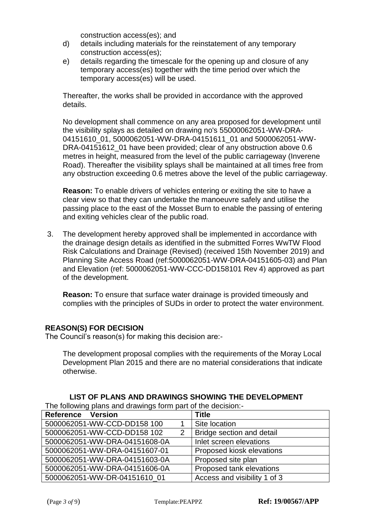construction access(es); and

- d) details including materials for the reinstatement of any temporary construction access(es);
- e) details regarding the timescale for the opening up and closure of any temporary access(es) together with the time period over which the temporary access(es) will be used.

Thereafter, the works shall be provided in accordance with the approved details.

No development shall commence on any area proposed for development until the visibility splays as detailed on drawing no's 55000062051-WW-DRA-04151610\_01, 5000062051-WW-DRA-04151611\_01 and 5000062051-WW-DRA-04151612 01 have been provided; clear of any obstruction above 0.6 metres in height, measured from the level of the public carriageway (Inverene Road). Thereafter the visibility splays shall be maintained at all times free from any obstruction exceeding 0.6 metres above the level of the public carriageway.

**Reason:** To enable drivers of vehicles entering or exiting the site to have a clear view so that they can undertake the manoeuvre safely and utilise the passing place to the east of the Mosset Burn to enable the passing of entering and exiting vehicles clear of the public road.

3. The development hereby approved shall be implemented in accordance with the drainage design details as identified in the submitted Forres WwTW Flood Risk Calculations and Drainage (Revised) (received 15th November 2019) and Planning Site Access Road (ref:5000062051-WW-DRA-04151605-03) and Plan and Elevation (ref: 5000062051-WW-CCC-DD158101 Rev 4) approved as part of the development.

**Reason:** To ensure that surface water drainage is provided timeously and complies with the principles of SUDs in order to protect the water environment.

## **REASON(S) FOR DECISION**

The Council's reason(s) for making this decision are:-

The development proposal complies with the requirements of the Moray Local Development Plan 2015 and there are no material considerations that indicate otherwise.

| The following plans and drawings form part of the decision.- |   |                              |  |  |
|--------------------------------------------------------------|---|------------------------------|--|--|
| Reference Version                                            |   | <b>Title</b>                 |  |  |
| 5000062051-WW-CCD-DD158 100                                  |   | Site location                |  |  |
| 5000062051-WW-CCD-DD158 102                                  | 2 | Bridge section and detail    |  |  |
| 5000062051-WW-DRA-04151608-0A                                |   | Inlet screen elevations      |  |  |
| 5000062051-WW-DRA-04151607-01                                |   | Proposed kiosk elevations    |  |  |
| 5000062051-WW-DRA-04151603-0A                                |   | Proposed site plan           |  |  |
| 5000062051-WW-DRA-04151606-0A                                |   | Proposed tank elevations     |  |  |
| 5000062051-WW-DR-04151610_01                                 |   | Access and visibility 1 of 3 |  |  |

**LIST OF PLANS AND DRAWINGS SHOWING THE DEVELOPMENT**

The following plans and drawings form part of the decision:-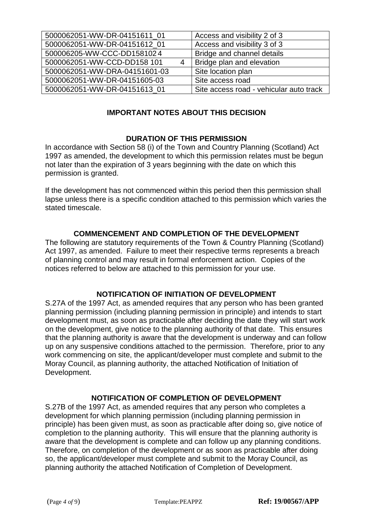| 5000062051-WW-DR-04151611 01  |   | Access and visibility 2 of 3            |
|-------------------------------|---|-----------------------------------------|
| 5000062051-WW-DR-04151612 01  |   | Access and visibility 3 of 3            |
| 500006205-WW-CCC-DD1581024    |   | Bridge and channel details              |
| 5000062051-WW-CCD-DD158 101   | 4 | Bridge plan and elevation               |
| 5000062051-WW-DRA-04151601-03 |   | Site location plan                      |
| 5000062051-WW-DR-04151605-03  |   | Site access road                        |
| 5000062051-WW-DR-04151613 01  |   | Site access road - vehicular auto track |

# **IMPORTANT NOTES ABOUT THIS DECISION**

# **DURATION OF THIS PERMISSION**

In accordance with Section 58 (i) of the Town and Country Planning (Scotland) Act 1997 as amended, the development to which this permission relates must be begun not later than the expiration of 3 years beginning with the date on which this permission is granted.

If the development has not commenced within this period then this permission shall lapse unless there is a specific condition attached to this permission which varies the stated timescale.

# **COMMENCEMENT AND COMPLETION OF THE DEVELOPMENT**

The following are statutory requirements of the Town & Country Planning (Scotland) Act 1997, as amended. Failure to meet their respective terms represents a breach of planning control and may result in formal enforcement action. Copies of the notices referred to below are attached to this permission for your use.

## **NOTIFICATION OF INITIATION OF DEVELOPMENT**

S.27A of the 1997 Act, as amended requires that any person who has been granted planning permission (including planning permission in principle) and intends to start development must, as soon as practicable after deciding the date they will start work on the development, give notice to the planning authority of that date. This ensures that the planning authority is aware that the development is underway and can follow up on any suspensive conditions attached to the permission. Therefore, prior to any work commencing on site, the applicant/developer must complete and submit to the Moray Council, as planning authority, the attached Notification of Initiation of Development.

## **NOTIFICATION OF COMPLETION OF DEVELOPMENT**

S.27B of the 1997 Act, as amended requires that any person who completes a development for which planning permission (including planning permission in principle) has been given must, as soon as practicable after doing so, give notice of completion to the planning authority. This will ensure that the planning authority is aware that the development is complete and can follow up any planning conditions. Therefore, on completion of the development or as soon as practicable after doing so, the applicant/developer must complete and submit to the Moray Council, as planning authority the attached Notification of Completion of Development.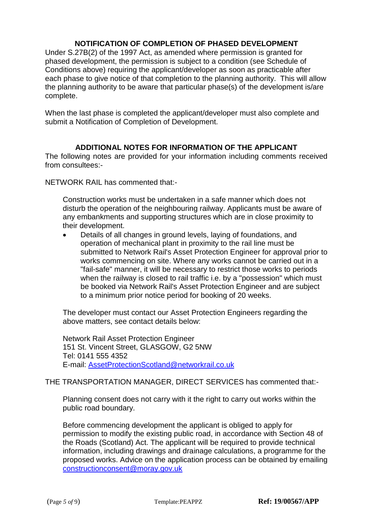# **NOTIFICATION OF COMPLETION OF PHASED DEVELOPMENT**

Under S.27B(2) of the 1997 Act, as amended where permission is granted for phased development, the permission is subject to a condition (see Schedule of Conditions above) requiring the applicant/developer as soon as practicable after each phase to give notice of that completion to the planning authority. This will allow the planning authority to be aware that particular phase(s) of the development is/are complete.

When the last phase is completed the applicant/developer must also complete and submit a Notification of Completion of Development.

## **ADDITIONAL NOTES FOR INFORMATION OF THE APPLICANT**

The following notes are provided for your information including comments received from consultees:-

NETWORK RAIL has commented that:-

Construction works must be undertaken in a safe manner which does not disturb the operation of the neighbouring railway. Applicants must be aware of any embankments and supporting structures which are in close proximity to their development.

 Details of all changes in ground levels, laying of foundations, and operation of mechanical plant in proximity to the rail line must be submitted to Network Rail's Asset Protection Engineer for approval prior to works commencing on site. Where any works cannot be carried out in a "fail-safe" manner, it will be necessary to restrict those works to periods when the railway is closed to rail traffic i.e. by a "possession" which must be booked via Network Rail's Asset Protection Engineer and are subject to a minimum prior notice period for booking of 20 weeks.

The developer must contact our Asset Protection Engineers regarding the above matters, see contact details below:

Network Rail Asset Protection Engineer 151 St. Vincent Street, GLASGOW, G2 5NW Tel: 0141 555 4352 E-mail: [AssetProtectionScotland@networkrail.co.uk](mailto:AssetProtectionScotland@networkrail.co.uk)

## THE TRANSPORTATION MANAGER, DIRECT SERVICES has commented that:-

Planning consent does not carry with it the right to carry out works within the public road boundary.

Before commencing development the applicant is obliged to apply for permission to modify the existing public road, in accordance with Section 48 of the Roads (Scotland) Act. The applicant will be required to provide technical information, including drawings and drainage calculations, a programme for the proposed works. Advice on the application process can be obtained by emailing [constructionconsent@moray.gov.uk](mailto:constructionconsent@moray.gov.uk)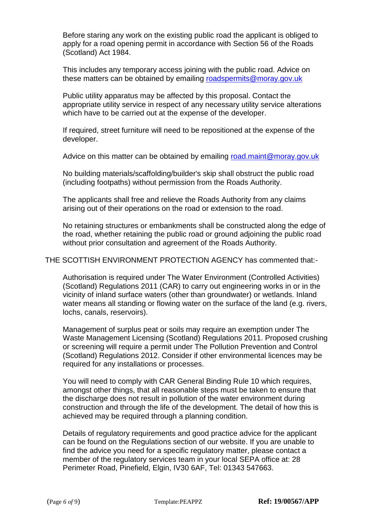Before staring any work on the existing public road the applicant is obliged to apply for a road opening permit in accordance with Section 56 of the Roads (Scotland) Act 1984.

This includes any temporary access joining with the public road. Advice on these matters can be obtained by emailing [roadspermits@moray.gov.uk](mailto:roadspermits@moray.gov.uk)

Public utility apparatus may be affected by this proposal. Contact the appropriate utility service in respect of any necessary utility service alterations which have to be carried out at the expense of the developer.

If required, street furniture will need to be repositioned at the expense of the developer.

Advice on this matter can be obtained by emailing [road.maint@moray.gov.uk](mailto:road.maint@moray.gov.uk)

No building materials/scaffolding/builder's skip shall obstruct the public road (including footpaths) without permission from the Roads Authority.

The applicants shall free and relieve the Roads Authority from any claims arising out of their operations on the road or extension to the road.

No retaining structures or embankments shall be constructed along the edge of the road, whether retaining the public road or ground adjoining the public road without prior consultation and agreement of the Roads Authority.

#### THE SCOTTISH ENVIRONMENT PROTECTION AGENCY has commented that:-

Authorisation is required under The Water Environment (Controlled Activities) (Scotland) Regulations 2011 (CAR) to carry out engineering works in or in the vicinity of inland surface waters (other than groundwater) or wetlands. Inland water means all standing or flowing water on the surface of the land (e.g. rivers, lochs, canals, reservoirs).

Management of surplus peat or soils may require an exemption under The Waste Management Licensing (Scotland) Regulations 2011. Proposed crushing or screening will require a permit under The Pollution Prevention and Control (Scotland) Regulations 2012. Consider if other environmental licences may be required for any installations or processes.

You will need to comply with CAR General Binding Rule 10 which requires, amongst other things, that all reasonable steps must be taken to ensure that the discharge does not result in pollution of the water environment during construction and through the life of the development. The detail of how this is achieved may be required through a planning condition.

Details of regulatory requirements and good practice advice for the applicant can be found on the Regulations section of our website. If you are unable to find the advice you need for a specific regulatory matter, please contact a member of the regulatory services team in your local SEPA office at: 28 Perimeter Road, Pinefield, Elgin, IV30 6AF, Tel: 01343 547663.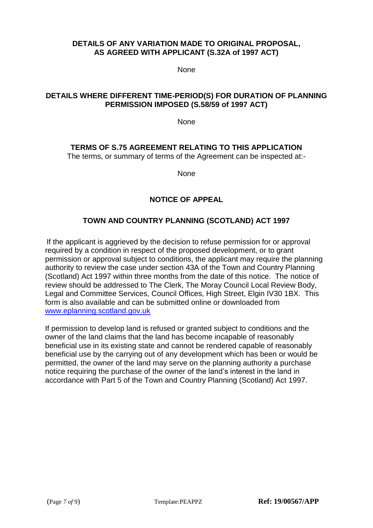### **DETAILS OF ANY VARIATION MADE TO ORIGINAL PROPOSAL, AS AGREED WITH APPLICANT (S.32A of 1997 ACT)**

None

# **DETAILS WHERE DIFFERENT TIME-PERIOD(S) FOR DURATION OF PLANNING PERMISSION IMPOSED (S.58/59 of 1997 ACT)**

**None** 

# **TERMS OF S.75 AGREEMENT RELATING TO THIS APPLICATION**

The terms, or summary of terms of the Agreement can be inspected at:-

None

# **NOTICE OF APPEAL**

## **TOWN AND COUNTRY PLANNING (SCOTLAND) ACT 1997**

If the applicant is aggrieved by the decision to refuse permission for or approval required by a condition in respect of the proposed development, or to grant permission or approval subject to conditions, the applicant may require the planning authority to review the case under section 43A of the Town and Country Planning (Scotland) Act 1997 within three months from the date of this notice. The notice of review should be addressed to The Clerk, The Moray Council Local Review Body, Legal and Committee Services, Council Offices, High Street, Elgin IV30 1BX. This form is also available and can be submitted online or downloaded from [www.eplanning.scotland.gov.uk](http://www.eplanning.scotland.gov.uk/) 

If permission to develop land is refused or granted subject to conditions and the owner of the land claims that the land has become incapable of reasonably beneficial use in its existing state and cannot be rendered capable of reasonably beneficial use by the carrying out of any development which has been or would be permitted, the owner of the land may serve on the planning authority a purchase notice requiring the purchase of the owner of the land's interest in the land in accordance with Part 5 of the Town and Country Planning (Scotland) Act 1997.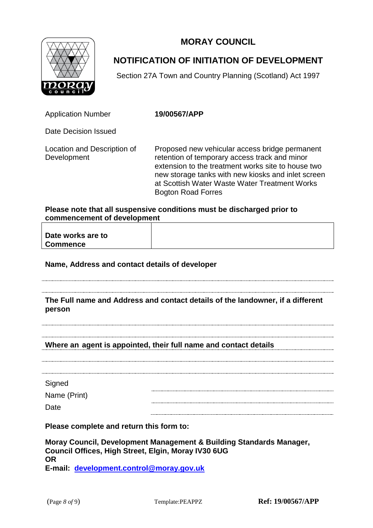**MORAY COUNCIL**



# **NOTIFICATION OF INITIATION OF DEVELOPMENT**

Section 27A Town and Country Planning (Scotland) Act 1997

Application Number **19/00567/APP**

Date Decision Issued

Location and Description of Development

Proposed new vehicular access bridge permanent retention of temporary access track and minor extension to the treatment works site to house two new storage tanks with new kiosks and inlet screen at Scottish Water Waste Water Treatment Works Bogton Road Forres

### **Please note that all suspensive conditions must be discharged prior to commencement of development**

| Date works are to |  |
|-------------------|--|
| <b>Commence</b>   |  |

## **Name, Address and contact details of developer**

#### **The Full name and Address and contact details of the landowner, if a different person**

## **Where an agent is appointed, their full name and contact details**

**Signed** 

Name (Print)

Date

**Please complete and return this form to:**

**Moray Council, Development Management & Building Standards Manager, Council Offices, High Street, Elgin, Moray IV30 6UG OR E-mail: [development.control@moray.gov.uk](mailto:development.control@moray.gov.uk)**